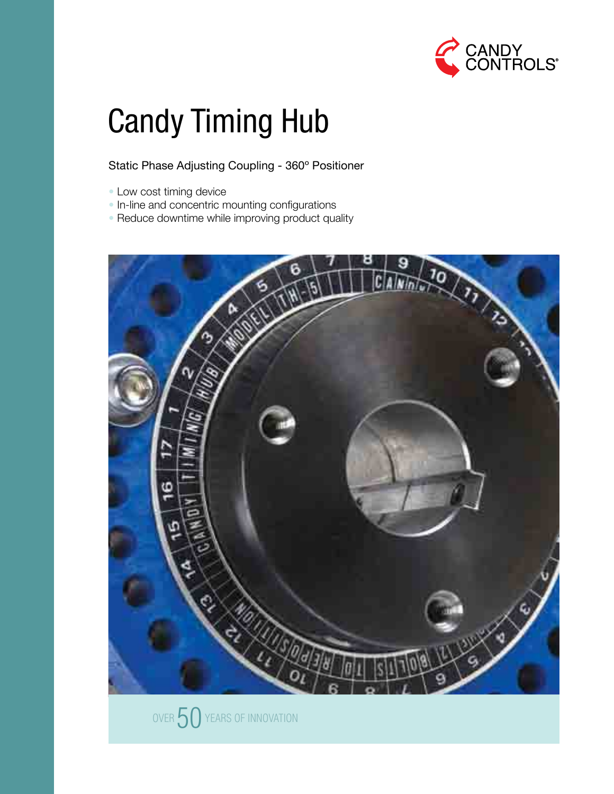

# Candy Timing Hub

### Static Phase Adjusting Coupling - 360º Positioner

- Low cost timing device
- In-line and concentric mounting configurations
- Reduce downtime while improving product quality



OVER  $50$  YEARS OF INNOVATION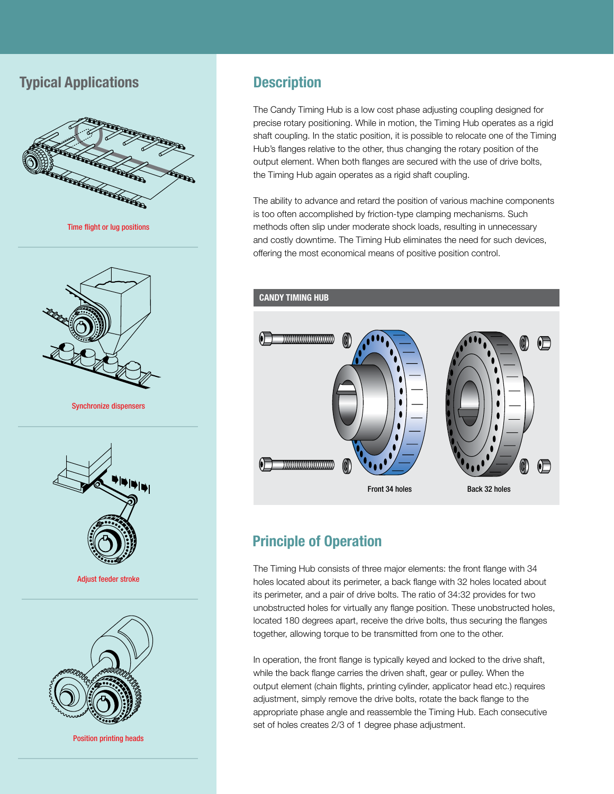# **Typical Applications**



Time flight or lug positions



Synchronize dispensers



Adjust feeder stroke



Position printing heads

# **Description**

The Candy Timing Hub is a low cost phase adjusting coupling designed for precise rotary positioning. While in motion, the Timing Hub operates as a rigid shaft coupling. In the static position, it is possible to relocate one of the Timing Hub's flanges relative to the other, thus changing the rotary position of the output element. When both flanges are secured with the use of drive bolts, the Timing Hub again operates as a rigid shaft coupling.

The ability to advance and retard the position of various machine components is too often accomplished by friction-type clamping mechanisms. Such methods often slip under moderate shock loads, resulting in unnecessary and costly downtime. The Timing Hub eliminates the need for such devices, offering the most economical means of positive position control.



# **Principle of Operation**

The Timing Hub consists of three major elements: the front flange with 34 holes located about its perimeter, a back flange with 32 holes located about its perimeter, and a pair of drive bolts. The ratio of 34:32 provides for two unobstructed holes for virtually any flange position. These unobstructed holes, located 180 degrees apart, receive the drive bolts, thus securing the flanges together, allowing torque to be transmitted from one to the other.

In operation, the front flange is typically keyed and locked to the drive shaft, while the back flange carries the driven shaft, gear or pulley. When the output element (chain flights, printing cylinder, applicator head etc.) requires adjustment, simply remove the drive bolts, rotate the back flange to the appropriate phase angle and reassemble the Timing Hub. Each consecutive set of holes creates 2/3 of 1 degree phase adjustment.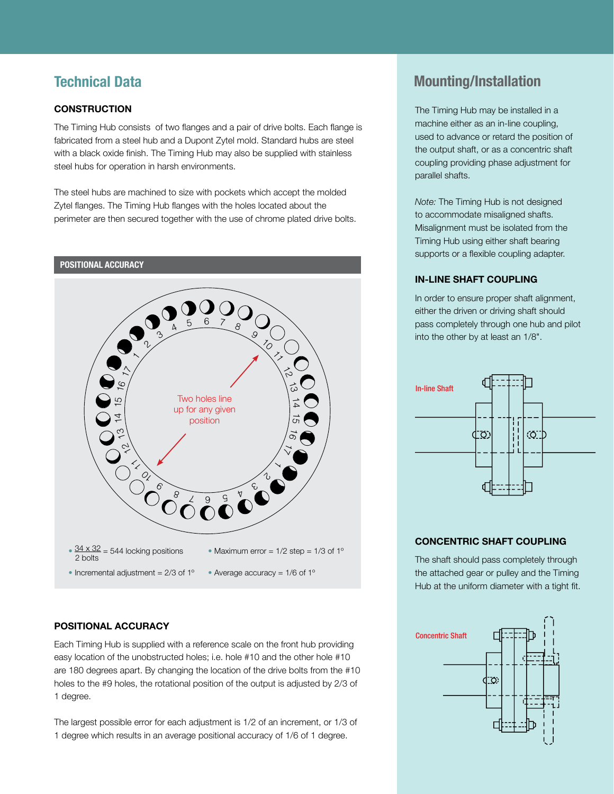#### **Construction**

The Timing Hub consists of two flanges and a pair of drive bolts. Each flange is fabricated from a steel hub and a Dupont Zytel mold. Standard hubs are steel with a black oxide finish. The Timing Hub may also be supplied with stainless steel hubs for operation in harsh environments.

The steel hubs are machined to size with pockets which accept the molded Zytel flanges. The Timing Hub flanges with the holes located about the perimeter are then secured together with the use of chrome plated drive bolts.



#### **Positional Accuracy**

Each Timing Hub is supplied with a reference scale on the front hub providing easy location of the unobstructed holes; i.e. hole #10 and the other hole #10 are 180 degrees apart. By changing the location of the drive bolts from the #10 holes to the #9 holes, the rotational position of the output is adjusted by 2/3 of 1 degree.

The largest possible error for each adjustment is 1/2 of an increment, or 1/3 of 1 degree which results in an average positional accuracy of 1/6 of 1 degree.

# **Technical Data Mounting/Installation**

The Timing Hub may be installed in a machine either as an in-line coupling, used to advance or retard the position of the output shaft, or as a concentric shaft coupling providing phase adjustment for parallel shafts.

*Note:* The Timing Hub is not designed to accommodate misaligned shafts. Misalignment must be isolated from the Timing Hub using either shaft bearing supports or a flexible coupling adapter.

#### **In-line Shaft Coupling**

In order to ensure proper shaft alignment, either the driven or driving shaft should pass completely through one hub and pilot into the other by at least an 1/8".



#### **Concentric Shaft Coupling**

The shaft should pass completely through the attached gear or pulley and the Timing Hub at the uniform diameter with a tight fit.